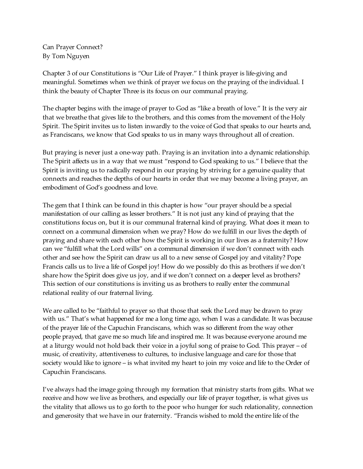Can Prayer Connect? By Tom Nguyen

Chapter 3 of our Constitutions is "Our Life of Prayer." I think prayer is life-giving and meaningful. Sometimes when we think of prayer we focus on the praying of the individual. I think the beauty of Chapter Three is its focus on our communal praying.

The chapter begins with the image of prayer to God as "like a breath of love." It is the very air that we breathe that gives life to the brothers, and this comes from the movement of the Holy Spirit. The Spirit invites us to listen inwardly to the voice of God that speaks to our hearts and, as Franciscans, we know that God speaks to us in many ways throughout all of creation.

But praying is never just a one-way path. Praying is an invitation into a dynamic relationship. The Spirit affects us in a way that we must "respond to God speaking to us." I believe that the Spirit is inviting us to radically respond in our praying by striving for a genuine quality that connects and reaches the depths of our hearts in order that we may become a living prayer, an embodiment of God's goodness and love.

The gem that I think can be found in this chapter is how "our prayer should be a special manifestation of our calling as lesser brothers." It is not just any kind of praying that the constitutions focus on, but it is our communal fraternal kind of praying. What does it mean to connect on a communal dimension when we pray? How do we fulfill in our lives the depth of praying and share with each other how the Spirit is working in our lives as a fraternity? How can we "fulfill what the Lord wills" on a communal dimension if we don't connect with each other and see how the Spirit can draw us all to a new sense of Gospel joy and vitality? Pope Francis calls us to live a life of Gospel joy! How do we possibly do this as brothers if we don't share how the Spirit does give us joy, and if we don't connect on a deeper level as brothers? This section of our constitutions is inviting us as brothers to really enter the communal relational reality of our fraternal living.

We are called to be "faithful to prayer so that those that seek the Lord may be drawn to pray with us." That's what happened for me a long time ago, when I was a candidate. It was because of the prayer life of the Capuchin Franciscans, which was so different from the way other people prayed, that gave me so much life and inspired me. It was because everyone around me at a liturgy would not hold back their voice in a joyful song of praise to God. This prayer – of music, of creativity, attentiveness to cultures, to inclusive language and care for those that society would like to ignore – is what invited my heart to join my voice and life to the Order of Capuchin Franciscans.

I've always had the image going through my formation that ministry starts from gifts. What we receive and how we live as brothers, and especially our life of prayer together, is what gives us the vitality that allows us to go forth to the poor who hunger for such relationality, connection and generosity that we have in our fraternity. "Francis wished to mold the entire life of the